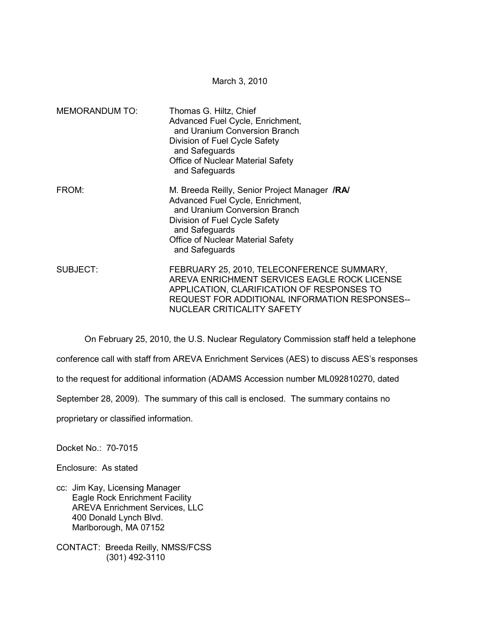March 3, 2010

| <b>MEMORANDUM TO:</b> | Thomas G. Hiltz, Chief<br>Advanced Fuel Cycle, Enrichment,<br>and Uranium Conversion Branch<br>Division of Fuel Cycle Safety<br>and Safeguards<br>Office of Nuclear Material Safety<br>and Safeguards                                      |
|-----------------------|--------------------------------------------------------------------------------------------------------------------------------------------------------------------------------------------------------------------------------------------|
| FROM:                 | M. Breeda Reilly, Senior Project Manager <i>IRAI</i><br>Advanced Fuel Cycle, Enrichment,<br>and Uranium Conversion Branch<br>Division of Fuel Cycle Safety<br>and Safeguards<br><b>Office of Nuclear Material Safety</b><br>and Safeguards |
| SUBJECT:              | FEBRUARY 25, 2010, TELECONFERENCE SUMMARY,<br>AREVA ENRICHMENT SERVICES EAGLE ROCK LICENSE<br>APPLICATION, CLARIFICATION OF RESPONSES TO<br>REQUEST FOR ADDITIONAL INFORMATION RESPONSES--<br>NUCLEAR CRITICALITY SAFETY                   |

On February 25, 2010, the U.S. Nuclear Regulatory Commission staff held a telephone

conference call with staff from AREVA Enrichment Services (AES) to discuss AES's responses

to the request for additional information (ADAMS Accession number ML092810270, dated

September 28, 2009). The summary of this call is enclosed. The summary contains no

proprietary or classified information.

Docket No.: 70-7015

Enclosure: As stated

cc: Jim Kay, Licensing Manager Eagle Rock Enrichment Facility AREVA Enrichment Services, LLC 400 Donald Lynch Blvd. Marlborough, MA 07152

CONTACT: Breeda Reilly, NMSS/FCSS (301) 492-3110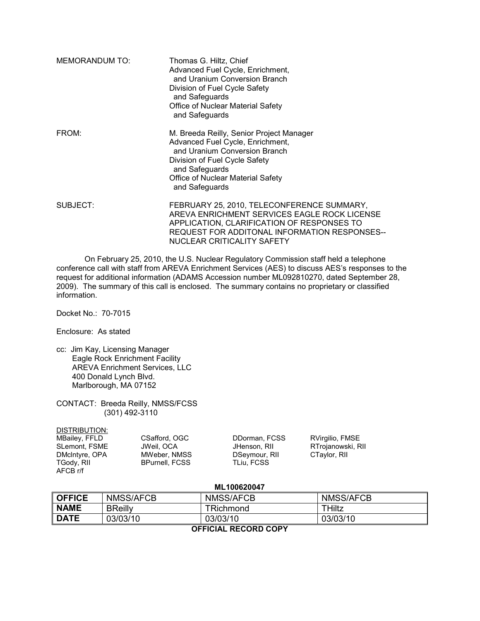| <b>MEMORANDUM TO:</b> | Thomas G. Hiltz, Chief<br>Advanced Fuel Cycle, Enrichment,<br>and Uranium Conversion Branch<br>Division of Fuel Cycle Safety<br>and Safeguards<br>Office of Nuclear Material Safety<br>and Safeguards                   |
|-----------------------|-------------------------------------------------------------------------------------------------------------------------------------------------------------------------------------------------------------------------|
| FROM:                 | M. Breeda Reilly, Senior Project Manager<br>Advanced Fuel Cycle, Enrichment,<br>and Uranium Conversion Branch<br>Division of Fuel Cycle Safety<br>and Safeguards<br>Office of Nuclear Material Safety<br>and Safeguards |
| SUBJECT:              | FEBRUARY 25, 2010, TELECONFERENCE SUMMARY,<br>AREVA ENRICHMENT SERVICES EAGLE ROCK LICENSE<br>APPLICATION, CLARIFICATION OF RESPONSES TO<br>REQUEST FOR ADDITONAL INFORMATION RESPONSES--<br>NUCLEAR CRITICALITY SAFETY |

 On February 25, 2010, the U.S. Nuclear Regulatory Commission staff held a telephone conference call with staff from AREVA Enrichment Services (AES) to discuss AES's responses to the request for additional information (ADAMS Accession number ML092810270, dated September 28, 2009). The summary of this call is enclosed. The summary contains no proprietary or classified information.

Docket No.: 70-7015

Enclosure: As stated

- cc: Jim Kay, Licensing Manager Eagle Rock Enrichment Facility AREVA Enrichment Services, LLC 400 Donald Lynch Blvd. Marlborough, MA 07152
- CONTACT: Breeda Reilly, NMSS/FCSS (301) 492-3110

#### DISTRIBUTION:

| JWeil. OCA            | JHenson, RII  | RTrojanowski, RII |
|-----------------------|---------------|-------------------|
|                       |               |                   |
| MWeber, NMSS          | DSeymour, RII | CTaylor, RII      |
| <b>BPurnell, FCSS</b> | TLiu. FCSS    |                   |
|                       |               |                   |

### **ML100620047**

| <b>OFFICE</b>           | <b>NMSS/AFCB</b> | <b>NMSS/AFCB</b>      | NMSS/AFCB     |  |  |
|-------------------------|------------------|-----------------------|---------------|--|--|
| <b>NAME</b>             | <b>BReilly</b>   | <sup>-</sup> Richmond | <b>THiltz</b> |  |  |
| <b>DATE</b>             | 03/03/10         | 03/03/10              | 03/03/10      |  |  |
| --------<br>___________ |                  |                       |               |  |  |

#### **OFFICIAL RECORD COPY**